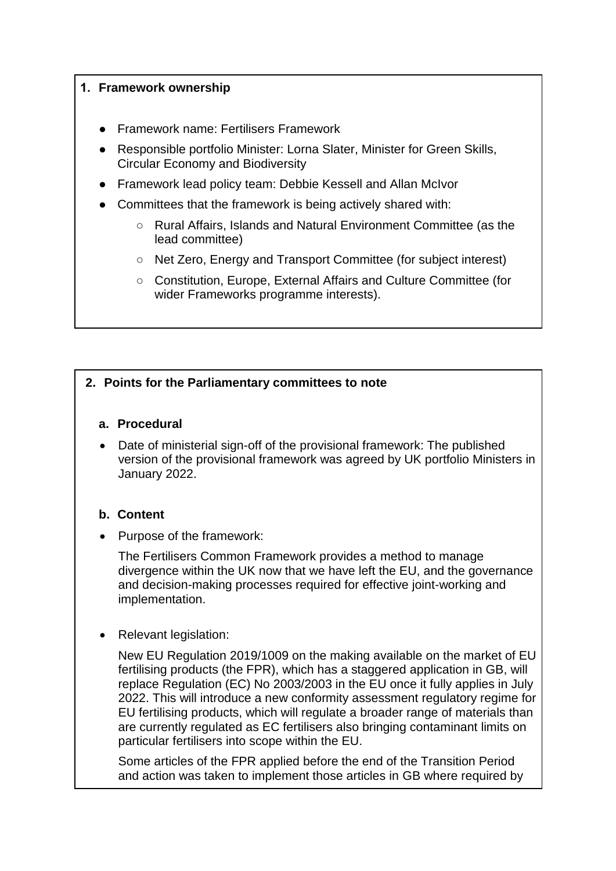## **1. Framework ownership**

- **Framework name: Fertilisers Framework**
- Responsible portfolio Minister: Lorna Slater, Minister for Green Skills, Circular Economy and Biodiversity
- Framework lead policy team: Debbie Kessell and Allan McIvor
- [Committees that the frame](mailto:Debbie.kessell@gov.scot)work is being ac[tively shared with:](mailto:Allan.McIvor@got.scot)
	- Rural Affairs, Islands and Natural Environment Committee (as the lead committee)
	- Net Zero, Energy and Transport Committee (for subject interest)
	- Constitution, Europe, External Affairs and Culture Committee (for wider Frameworks programme interests).

## **2. Points for the Parliamentary committees to note**

## **a. Procedural**

 Date of ministerial sign-off of the provisional framework: The published version of the provisional framework was agreed by UK portfolio Ministers in January 2022.

## **b. Content**

• Purpose of the framework:

The Fertilisers Common Framework provides a method to manage divergence within the UK now that we have left the EU, and the governance and decision-making processes required for effective joint-working and implementation.

Relevant legislation:

New EU Regulation 2019/1009 on the making available on the market of EU fertilising products (the FPR), which has a staggered application in GB, will replace Regulation (EC) No 2003/2003 in the EU once it fully applies in July 2022. This will introduce a new conformity assessment regulatory regime for EU fertilising products, which will regulate a broader range of materials than are currently regulated as EC fertilisers also bringing contaminant limits on particular fertilisers into scope within the EU.

Some articles of the FPR applied before the end of the Transition Period and action was taken to implement those articles in GB where required by